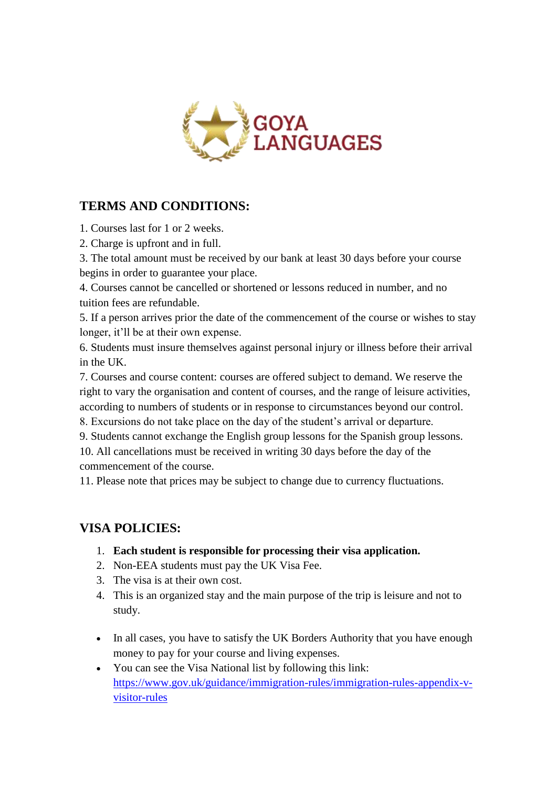

## **TERMS AND CONDITIONS:**

1. Courses last for 1 or 2 weeks.

2. Charge is upfront and in full.

3. The total amount must be received by our bank at least 30 days before your course begins in order to guarantee your place.

4. Courses cannot be cancelled or shortened or lessons reduced in number, and no tuition fees are refundable.

5. If a person arrives prior the date of the commencement of the course or wishes to stay longer, it'll be at their own expense.

6. Students must insure themselves against personal injury or illness before their arrival in the UK.

7. Courses and course content: courses are offered subject to demand. We reserve the right to vary the organisation and content of courses, and the range of leisure activities, according to numbers of students or in response to circumstances beyond our control.

8. Excursions do not take place on the day of the student's arrival or departure.

9. Students cannot exchange the English group lessons for the Spanish group lessons.

10. All cancellations must be received in writing 30 days before the day of the commencement of the course.

11. Please note that prices may be subject to change due to currency fluctuations.

# **VISA POLICIES:**

- 1. **Each student is responsible for processing their visa application.**
- 2. Non-EEA students must pay the UK Visa Fee.
- 3. The visa is at their own cost.
- 4. This is an organized stay and the main purpose of the trip is leisure and not to study.
- In all cases, you have to satisfy the UK Borders Authority that you have enough money to pay for your course and living expenses.
- You can see the Visa National list by following this link: [https://www.gov.uk/guidance/immigration-rules/immigration-rules-appendix-v](https://www.gov.uk/guidance/immigration-rules/immigration-rules-appendix-v-visitor-rules)[visitor-rules](https://www.gov.uk/guidance/immigration-rules/immigration-rules-appendix-v-visitor-rules)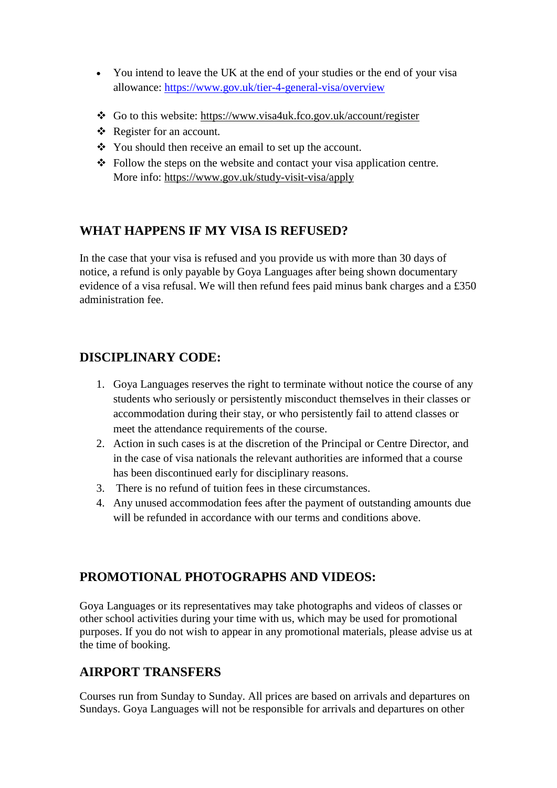- You intend to leave the UK at the end of your studies or the end of your visa allowance:<https://www.gov.uk/tier-4-general-visa/overview>
- Go to this website:<https://www.visa4uk.fco.gov.uk/account/register>
- $\triangle$  Register for an account.
- You should then receive an email to set up the account.
- $\triangle$  Follow the steps on the website and contact your visa application centre. More info:<https://www.gov.uk/study-visit-visa/apply>

#### **WHAT HAPPENS IF MY VISA IS REFUSED?**

In the case that your visa is refused and you provide us with more than 30 days of notice, a refund is only payable by Goya Languages after being shown documentary evidence of a visa refusal. We will then refund fees paid minus bank charges and a £350 administration fee.

### **DISCIPLINARY CODE:**

- 1. Goya Languages reserves the right to terminate without notice the course of any students who seriously or persistently misconduct themselves in their classes or accommodation during their stay, or who persistently fail to attend classes or meet the attendance requirements of the course.
- 2. Action in such cases is at the discretion of the Principal or Centre Director, and in the case of visa nationals the relevant authorities are informed that a course has been discontinued early for disciplinary reasons.
- 3. There is no refund of tuition fees in these circumstances.
- 4. Any unused accommodation fees after the payment of outstanding amounts due will be refunded in accordance with our terms and conditions above.

### **PROMOTIONAL PHOTOGRAPHS AND VIDEOS:**

Goya Languages or its representatives may take photographs and videos of classes or other school activities during your time with us, which may be used for promotional purposes. If you do not wish to appear in any promotional materials, please advise us at the time of booking.

#### **AIRPORT TRANSFERS**

Courses run from Sunday to Sunday. All prices are based on arrivals and departures on Sundays. Goya Languages will not be responsible for arrivals and departures on other